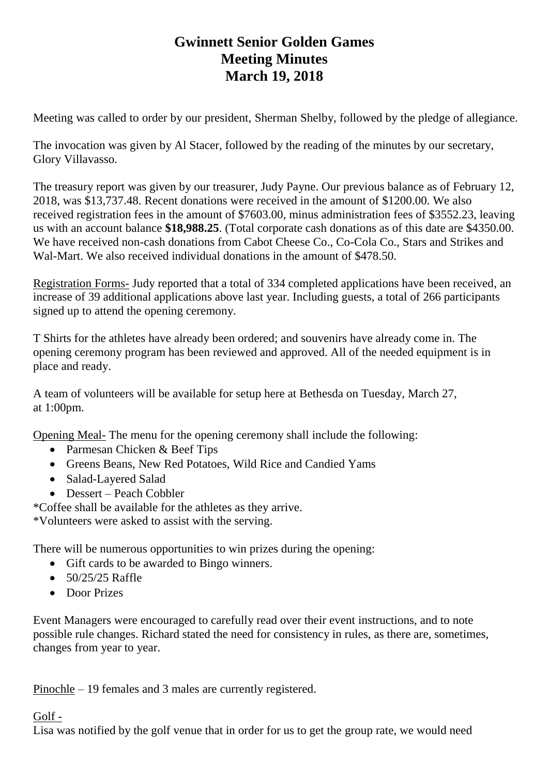## **Gwinnett Senior Golden Games Meeting Minutes March 19, 2018**

Meeting was called to order by our president, Sherman Shelby, followed by the pledge of allegiance.

The invocation was given by Al Stacer, followed by the reading of the minutes by our secretary, Glory Villavasso.

The treasury report was given by our treasurer, Judy Payne. Our previous balance as of February 12, 2018, was \$13,737.48. Recent donations were received in the amount of \$1200.00. We also received registration fees in the amount of \$7603.00, minus administration fees of \$3552.23, leaving us with an account balance **\$18,988.25**. (Total corporate cash donations as of this date are \$4350.00. We have received non-cash donations from Cabot Cheese Co., Co-Cola Co., Stars and Strikes and Wal-Mart. We also received individual donations in the amount of \$478.50.

Registration Forms- Judy reported that a total of 334 completed applications have been received, an increase of 39 additional applications above last year. Including guests, a total of 266 participants signed up to attend the opening ceremony.

T Shirts for the athletes have already been ordered; and souvenirs have already come in. The opening ceremony program has been reviewed and approved. All of the needed equipment is in place and ready.

A team of volunteers will be available for setup here at Bethesda on Tuesday, March 27, at 1:00pm.

Opening Meal- The menu for the opening ceremony shall include the following:

- Parmesan Chicken & Beef Tips
- Greens Beans, New Red Potatoes, Wild Rice and Candied Yams
- Salad-Layered Salad
- Dessert Peach Cobbler

\*Coffee shall be available for the athletes as they arrive.

\*Volunteers were asked to assist with the serving.

There will be numerous opportunities to win prizes during the opening:

- Gift cards to be awarded to Bingo winners.
- $50/25/25$  Raffle
- Door Prizes

Event Managers were encouraged to carefully read over their event instructions, and to note possible rule changes. Richard stated the need for consistency in rules, as there are, sometimes, changes from year to year.

Pinochle – 19 females and 3 males are currently registered.

## Golf -

Lisa was notified by the golf venue that in order for us to get the group rate, we would need